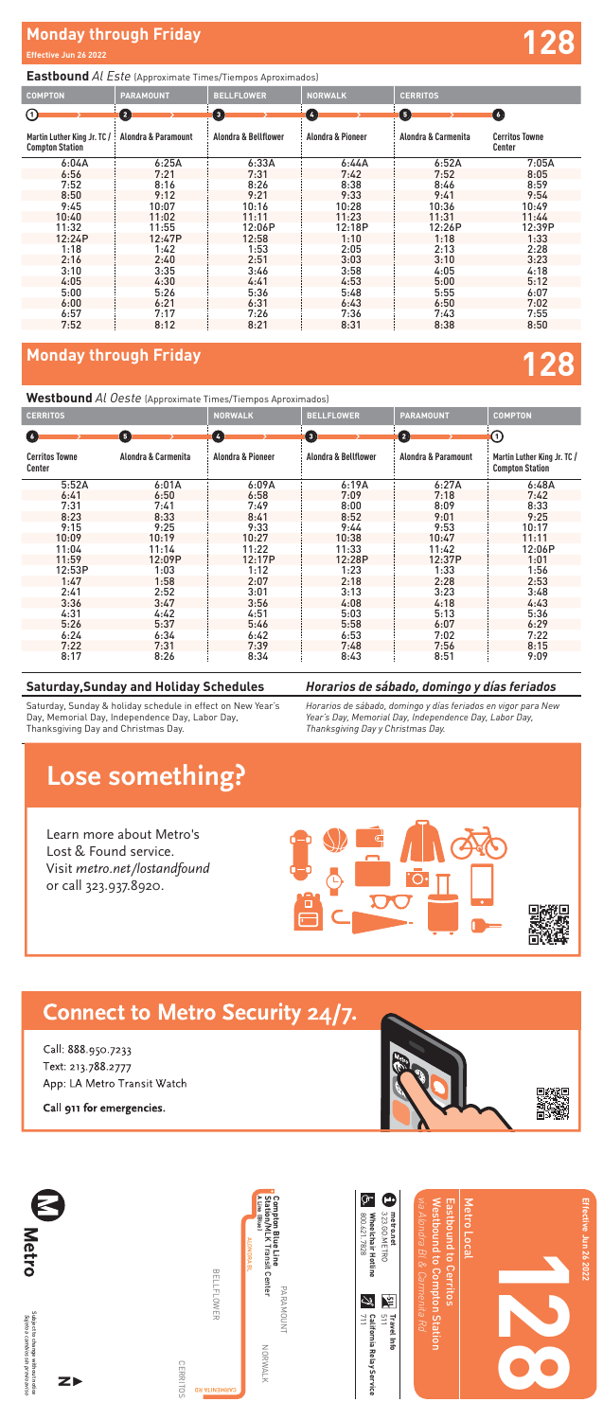| Φ<br>323.GO.METRO<br>metro.net | via Alondra Bl & Carmenita Rd<br>Westbound to Compton Station<br>Eastbound to Cerritos | Metro Local<br>Effective Jun 26 2022 |
|--------------------------------|----------------------------------------------------------------------------------------|--------------------------------------|
| $\frac{3p}{511}$ Travel Info   |                                                                                        |                                      |

**「淡淡」** 

App: LA Metro Transit Watch

**Compton Blue Line** 

**Station/** N<br>K **(Blue)**

**CERRITOS** CERRITOS

Subject to change without notice<br>Subje*to a cambios sin previo aviso* Subject to change without notice *Sujeto a cambios sin previo aviso*

Transit Center



**A Line**

PARAMOUNT PARAMOUNT

California Relay Service<br>711 **California Relay Service**



Call 911 for emergencies. or call 323.937.8920.

> 800.621.7828 **Wheelchair Hotline** 323.GO.METRO **metro.net**

Wheelchair Hotline<br>800.621.7828

 $\widehat{\mathbb{F}}$  $\bullet$ 

旨 رن<br>په





## **Lose something?**

Learn more about Metro's Lost & Found service. Visit metro.net/lostandfound or call 323.937.8920.



# Connect to Metro Security 24/7.

Text: 213.788.2777



### **Eastbound** *Al Este* (Approximate Times/Tiempos Aproximados)

### **Westbound** *Al Oeste* (Approximate Times/Tiempos Aproximados)

| <b>COMPTON</b>                                                    | <b>PARAMOUNT</b>    | <b>BELLFLOWER</b>               | <b>NORWALK</b>        | <b>CERRITOS</b>     |                                 |
|-------------------------------------------------------------------|---------------------|---------------------------------|-----------------------|---------------------|---------------------------------|
| $\odot$                                                           | $\mathbf{2}$        | $\mathbf{G}$                    | $\boldsymbol{\omega}$ | G                   | O                               |
| Martin Luther King Jr. TC $\frac{1}{2}$<br><b>Compton Station</b> | Alondra & Paramount | <b>Alondra &amp; Bellflower</b> | Alondra & Pioneer     | Alondra & Carmenita | <b>Cerritos Towne</b><br>Center |
| 6:04A                                                             | 6:25A               | 6:33A                           | 6:44A                 | 6:52A               | 7:05A                           |
| 6:56                                                              | 7:21                | 7:31                            | 7:42                  | 7:52                | 8:05                            |
| 7:52                                                              | 8:16                | 8:26                            | 8:38                  | 8:46                | 8:59                            |
| 8:50                                                              | 9:12                | 9:21                            | 9:33                  | 9:41                | 9:54                            |
| 9:45                                                              | 10:07               | 10:16                           | 10:28                 | 10:36               | 10:49                           |
| 10:40                                                             | 11:02               | 11:11                           | 11:23                 | 11:31               | 11:44                           |
| 11:32                                                             | 11:55               | 12:06P                          | 12:18P                | 12:26P              | 12:39P                          |
| 12:24P                                                            | 12:47P              | 12:58                           | 1:10                  | 1:18                | 1:33                            |
| 1:18                                                              | 1:42                | 1:53                            | 2:05                  | 2:13                | 2:28                            |
| 2:16                                                              | 2:40                | 2:51                            | 3:03                  | 3:10                | 3:23                            |
| 3:10                                                              | 3:35                | 3:46                            | 3:58                  | 4:05                | 4:18                            |
| 4:05                                                              | 4:30                | 4:41                            | 4:53                  | 5:00                | 5:12                            |
| 5:00                                                              | 5:26                | 5:36                            | 5:48                  | 5:55                | 6:07                            |
| 6:00                                                              | 6:21                | 6:31                            | 6:43                  | 6:50                | 7:02                            |
| 6:57                                                              | 7:17                | 7:26                            | 7:36                  | 7:43                | 7:55                            |
| 7:52                                                              | 8:12                | 8:21                            | 8:31                  | 8:38                | 8:50                            |

| <b>CERRITOS</b>                 |                     | <b>NORWALK</b>    | <b>BELLFLOWER</b>     | <b>PARAMOUNT</b>    | <b>COMPTON</b>                                        |
|---------------------------------|---------------------|-------------------|-----------------------|---------------------|-------------------------------------------------------|
| $\epsilon$                      | 6                   | $\bullet$         | $\boldsymbol{\Theta}$ | 0                   | $\left( 1\right)$                                     |
| <b>Cerritos Towne</b><br>Center | Alondra & Carmenita | Alondra & Pioneer | Alondra & Bellflower  | Alondra & Paramount | Martin Luther King Jr. TC /<br><b>Compton Station</b> |
| 5:52A                           | 6:01A               | 6:09A             | 6:19A                 | 6:27A               | 6:48A                                                 |
| 6:41                            | 6:50                | 6:58              | 7:09                  | 7:18                | 7:42                                                  |
| 7:31                            | 7:41                | 7:49              | 8:00                  | 8:09                | 8:33                                                  |
| 8:23                            | 8:33                | 8:41              | 8:52                  | 9:01                | 9:25                                                  |
| 9:15                            | 9:25                | 9:33              | 9:44                  | 9:53                | 10:17                                                 |
| 10:09                           | 10:19               | 10:27             | 10:38                 | 10:47               | 11:11                                                 |
| 11:04                           | 11:14               | 11:22             | 11:33                 | 11:42               | 12:06P                                                |
| 11:59                           | 12:09P              | 12:17P            | 12:28P                | 12:37P              | 1:01                                                  |
| 12:53P                          | 1:03                | 1:12              | 1:23                  | 1:33                | 1:56                                                  |
| 1:47                            | 1:58                | 2:07              | 2:18                  | 2:28                | 2:53                                                  |
| 2:41                            | 2:52                | 3:01              | 3:13                  | 3:23                | 3:48                                                  |
| 3:36                            | 3:47                | 3:56              | 4:08                  | 4:18                | 4:43                                                  |
| 4:31                            | 4:42                | 4:51              | 5:03                  | 5:13                | 5:36                                                  |
| 5:26                            | 5:37                | 5:46              | 5:58                  | 6:07                | 6:29                                                  |
| 6:24                            | 6:34                | 6:42              | 6:53                  | 7:02                | 7:22                                                  |
| 7:22                            | 7:31                | 7:39              | 7:48                  | 7:56                | 8:15                                                  |
| 8:17                            | 8:26                | 8:34              | 8:43                  | 8:51                | 9:09                                                  |

## **Monday through Friday**

## **Monday through Friday Effective Jun 26 2022 128**

**128**

### **Saturday,Sunday and Holiday Schedules**

Saturday, Sunday & holiday schedule in effect on New Year's Day, Memorial Day, Independence Day, Labor Day, Thanksgiving Day and Christmas Day.

### *Horarios de sábado, domingo y días feriados*

*Horarios de sábado, domingo y días feriados en vigor para New Year's Day, Memorial Day, Independence Day, Labor Day, Thanksgiving Day y Christmas Day.*